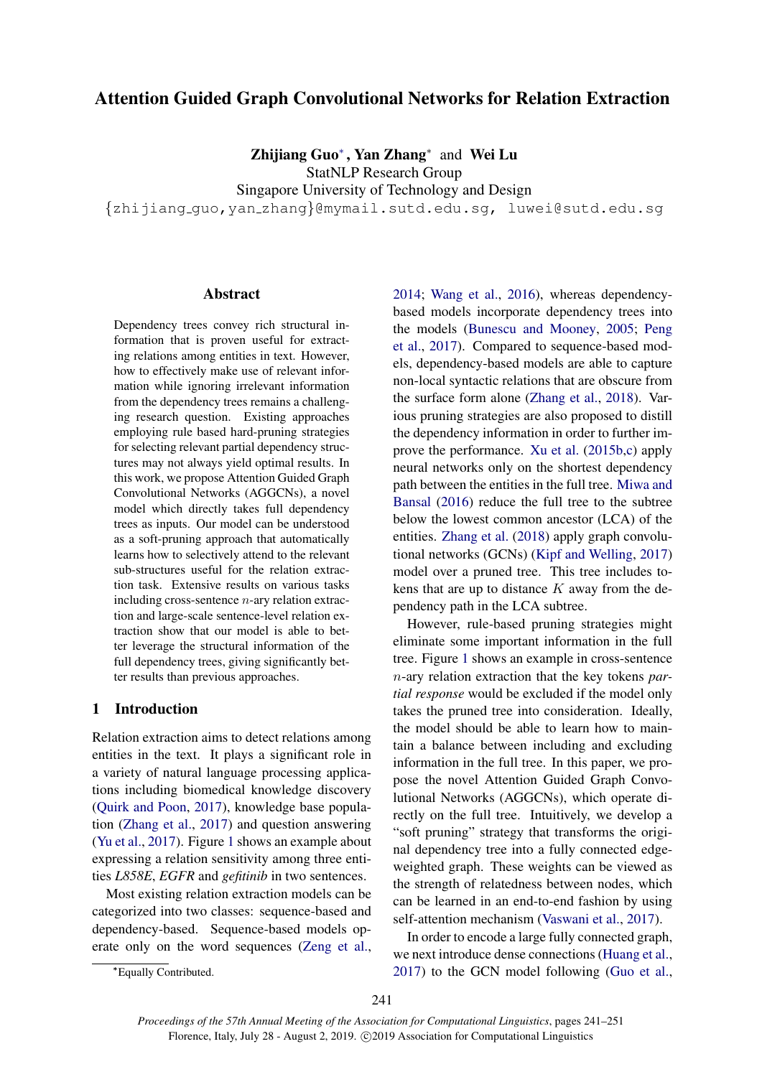# Attention Guided Graph Convolutional Networks for Relation Extraction

Zhijiang Guo<sup>∗</sup> , Yan Zhang<sup>∗</sup> and Wei Lu

StatNLP Research Group

Singapore University of Technology and Design

{zhijiang guo,yan zhang}@mymail.sutd.edu.sg, luwei@sutd.edu.sg

# Abstract

Dependency trees convey rich structural information that is proven useful for extracting relations among entities in text. However, how to effectively make use of relevant information while ignoring irrelevant information from the dependency trees remains a challenging research question. Existing approaches employing rule based hard-pruning strategies for selecting relevant partial dependency structures may not always yield optimal results. In this work, we propose Attention Guided Graph Convolutional Networks (AGGCNs), a novel model which directly takes full dependency trees as inputs. Our model can be understood as a soft-pruning approach that automatically learns how to selectively attend to the relevant sub-structures useful for the relation extraction task. Extensive results on various tasks including cross-sentence n-ary relation extraction and large-scale sentence-level relation extraction show that our model is able to better leverage the structural information of the full dependency trees, giving significantly better results than previous approaches.

### <span id="page-0-0"></span>1 Introduction

Relation extraction aims to detect relations among entities in the text. It plays a significant role in a variety of natural language processing applications including biomedical knowledge discovery [\(Quirk and Poon,](#page-9-0) [2017\)](#page-9-0), knowledge base population [\(Zhang et al.,](#page-10-0) [2017\)](#page-10-0) and question answering [\(Yu et al.,](#page-10-1) [2017\)](#page-10-1). Figure [1](#page-1-0) shows an example about expressing a relation sensitivity among three entities *L858E*, *EGFR* and *gefitinib* in two sentences.

Most existing relation extraction models can be categorized into two classes: sequence-based and dependency-based. Sequence-based models operate only on the word sequences [\(Zeng et al.,](#page-10-2)

[2014;](#page-10-2) [Wang et al.,](#page-10-3) [2016\)](#page-10-3), whereas dependencybased models incorporate dependency trees into the models [\(Bunescu and Mooney,](#page-9-1) [2005;](#page-9-1) [Peng](#page-9-2) [et al.,](#page-9-2) [2017\)](#page-9-2). Compared to sequence-based models, dependency-based models are able to capture non-local syntactic relations that are obscure from the surface form alone [\(Zhang et al.,](#page-10-4) [2018\)](#page-10-4). Various pruning strategies are also proposed to distill the dependency information in order to further improve the performance. [Xu et al.](#page-10-5) [\(2015b,](#page-10-5)[c\)](#page-10-6) apply neural networks only on the shortest dependency path between the entities in the full tree. [Miwa and](#page-9-3) [Bansal](#page-9-3) [\(2016\)](#page-9-3) reduce the full tree to the subtree below the lowest common ancestor (LCA) of the entities. [Zhang et al.](#page-10-4) [\(2018\)](#page-10-4) apply graph convolutional networks (GCNs) [\(Kipf and Welling,](#page-9-4) [2017\)](#page-9-4) model over a pruned tree. This tree includes tokens that are up to distance  $K$  away from the dependency path in the LCA subtree.

However, rule-based pruning strategies might eliminate some important information in the full tree. Figure [1](#page-1-0) shows an example in cross-sentence n-ary relation extraction that the key tokens *partial response* would be excluded if the model only takes the pruned tree into consideration. Ideally, the model should be able to learn how to maintain a balance between including and excluding information in the full tree. In this paper, we propose the novel Attention Guided Graph Convolutional Networks (AGGCNs), which operate directly on the full tree. Intuitively, we develop a "soft pruning" strategy that transforms the original dependency tree into a fully connected edgeweighted graph. These weights can be viewed as the strength of relatedness between nodes, which can be learned in an end-to-end fashion by using self-attention mechanism [\(Vaswani et al.,](#page-9-5) [2017\)](#page-9-5).

In order to encode a large fully connected graph, we next introduce dense connections [\(Huang et al.,](#page-9-6) [2017\)](#page-9-6) to the GCN model following [\(Guo et al.,](#page-9-7)

<sup>∗</sup>Equally Contributed.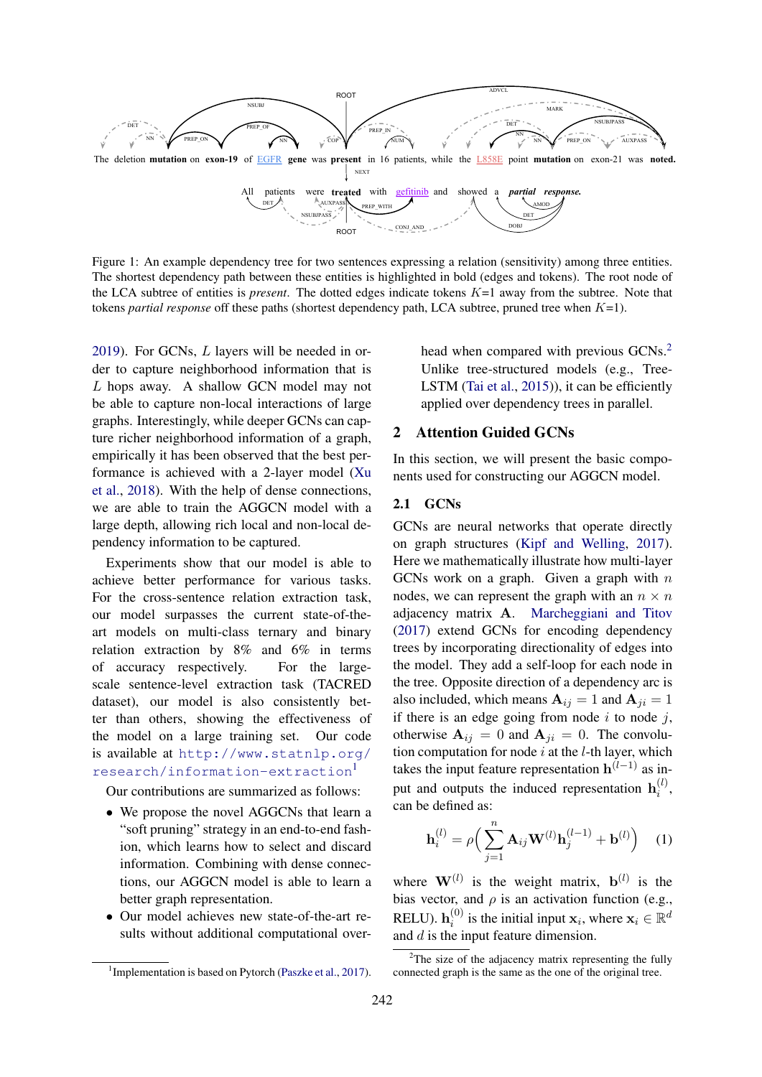<span id="page-1-0"></span>

Figure 1: An example dependency tree for two sentences expressing a relation (sensitivity) among three entities. The shortest dependency path between these entities is highlighted in bold (edges and tokens). The root node of the LCA subtree of entities is *present*. The dotted edges indicate tokens K=1 away from the subtree. Note that tokens *partial response* off these paths (shortest dependency path, LCA subtree, pruned tree when K=1).

[2019\)](#page-9-7). For GCNs, L layers will be needed in order to capture neighborhood information that is L hops away. A shallow GCN model may not be able to capture non-local interactions of large graphs. Interestingly, while deeper GCNs can capture richer neighborhood information of a graph, empirically it has been observed that the best performance is achieved with a 2-layer model [\(Xu](#page-10-7) [et al.,](#page-10-7) [2018\)](#page-10-7). With the help of dense connections, we are able to train the AGGCN model with a large depth, allowing rich local and non-local dependency information to be captured.

Experiments show that our model is able to achieve better performance for various tasks. For the cross-sentence relation extraction task, our model surpasses the current state-of-theart models on multi-class ternary and binary relation extraction by 8% and 6% in terms of accuracy respectively. For the largescale sentence-level extraction task (TACRED dataset), our model is also consistently better than others, showing the effectiveness of the model on a large training set. Our code is available at [http://www.statnlp.org/](http://www.statnlp.org/research/information-extraction) [research/information-extraction](http://www.statnlp.org/research/information-extraction)[1](#page-1-1)

Our contributions are summarized as follows:

- We propose the novel AGGCNs that learn a "soft pruning" strategy in an end-to-end fashion, which learns how to select and discard information. Combining with dense connections, our AGGCN model is able to learn a better graph representation.
- Our model achieves new state-of-the-art results without additional computational over-

head when compared with previous GCNs.<sup>[2](#page-1-2)</sup> Unlike tree-structured models (e.g., Tree-LSTM [\(Tai et al.,](#page-9-9) [2015\)](#page-9-9)), it can be efficiently applied over dependency trees in parallel.

# 2 Attention Guided GCNs

In this section, we will present the basic components used for constructing our AGGCN model.

# 2.1 GCNs

GCNs are neural networks that operate directly on graph structures [\(Kipf and Welling,](#page-9-4) [2017\)](#page-9-4). Here we mathematically illustrate how multi-layer GCNs work on a graph. Given a graph with  $n$ nodes, we can represent the graph with an  $n \times n$ adjacency matrix A. [Marcheggiani and Titov](#page-9-10) [\(2017\)](#page-9-10) extend GCNs for encoding dependency trees by incorporating directionality of edges into the model. They add a self-loop for each node in the tree. Opposite direction of a dependency arc is also included, which means  $A_{ij} = 1$  and  $A_{ji} = 1$ if there is an edge going from node  $i$  to node  $j$ , otherwise  $A_{ij} = 0$  and  $A_{ji} = 0$ . The convolution computation for node  $i$  at the  $l$ -th layer, which takes the input feature representation  $h^{(l-1)}$  as input and outputs the induced representation  $\mathbf{h}_i^{(l)}$  $\binom{u}{i}$ can be defined as:

$$
\mathbf{h}_{i}^{(l)} = \rho \Big( \sum_{j=1}^{n} \mathbf{A}_{ij} \mathbf{W}^{(l)} \mathbf{h}_{j}^{(l-1)} + \mathbf{b}^{(l)} \Big) \quad (1)
$$

where  $\mathbf{W}^{(l)}$  is the weight matrix,  $\mathbf{b}^{(l)}$  is the bias vector, and  $\rho$  is an activation function (e.g., RELU).  $\mathbf{h}^{(0)}_i$  $i_i^{(0)}$  is the initial input  $\mathbf{x}_i$ , where  $\mathbf{x}_i \in \mathbb{R}^d$ and d is the input feature dimension.

<span id="page-1-1"></span><sup>&</sup>lt;sup>1</sup> Implementation is based on Pytorch [\(Paszke et al.,](#page-9-8) [2017\)](#page-9-8).

<span id="page-1-2"></span> $2$ The size of the adjacency matrix representing the fully connected graph is the same as the one of the original tree.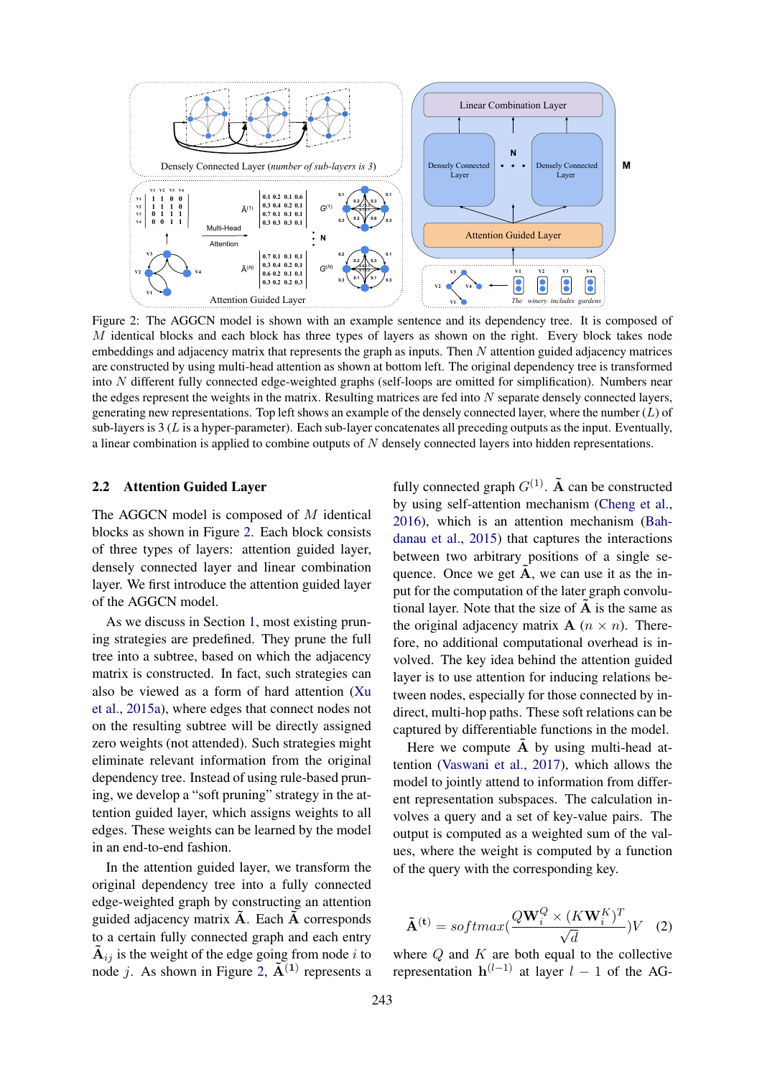<span id="page-2-0"></span>

Figure 2: The AGGCN model is shown with an example sentence and its dependency tree. It is composed of M identical blocks and each block has three types of layers as shown on the right. Every block takes node embeddings and adjacency matrix that represents the graph as inputs. Then  $N$  attention guided adjacency matrices are constructed by using multi-head attention as shown at bottom left. The original dependency tree is transformed into N different fully connected edge-weighted graphs (self-loops are omitted for simplification). Numbers near the edges represent the weights in the matrix. Resulting matrices are fed into N separate densely connected layers, generating new representations. Top left shows an example of the densely connected layer, where the number  $(L)$  of sub-layers is  $3$  (L is a hyper-parameter). Each sub-layer concatenates all preceding outputs as the input. Eventually, a linear combination is applied to combine outputs of  $N$  densely connected layers into hidden representations.

#### 2.2 Attention Guided Layer

The AGGCN model is composed of  $M$  identical blocks as shown in Figure [2.](#page-2-0) Each block consists of three types of layers: attention guided layer, densely connected layer and linear combination layer. We first introduce the attention guided layer of the AGGCN model.

As we discuss in Section [1,](#page-0-0) most existing pruning strategies are predefined. They prune the full tree into a subtree, based on which the adjacency matrix is constructed. In fact, such strategies can also be viewed as a form of hard attention [\(Xu](#page-10-8) [et al.,](#page-10-8) [2015a\)](#page-10-8), where edges that connect nodes not on the resulting subtree will be directly assigned zero weights (not attended). Such strategies might eliminate relevant information from the original dependency tree. Instead of using rule-based pruning, we develop a "soft pruning" strategy in the attention guided layer, which assigns weights to all edges. These weights can be learned by the model in an end-to-end fashion.

In the attention guided layer, we transform the original dependency tree into a fully connected edge-weighted graph by constructing an attention guided adjacency matrix  $A$ . Each  $A$  corresponds to a certain fully connected graph and each entry  $\tilde{A}_{ij}$  is the weight of the edge going from node i to node *j*. As shown in Figure [2,](#page-2-0)  $\tilde{A}^{(1)}$  represents a

fully connected graph  $G^{(1)}$ .  $\tilde{A}$  can be constructed by using self-attention mechanism [\(Cheng et al.,](#page-9-11) [2016\)](#page-9-11), which is an attention mechanism [\(Bah](#page-9-12)[danau et al.,](#page-9-12) [2015\)](#page-9-12) that captures the interactions between two arbitrary positions of a single sequence. Once we get  $\tilde{A}$ , we can use it as the input for the computation of the later graph convolutional layer. Note that the size of  $\overline{A}$  is the same as the original adjacency matrix  $A$  ( $n \times n$ ). Therefore, no additional computational overhead is involved. The key idea behind the attention guided layer is to use attention for inducing relations between nodes, especially for those connected by indirect, multi-hop paths. These soft relations can be captured by differentiable functions in the model.

Here we compute  $\tilde{A}$  by using multi-head attention [\(Vaswani et al.,](#page-9-5) [2017\)](#page-9-5), which allows the model to jointly attend to information from different representation subspaces. The calculation involves a query and a set of key-value pairs. The output is computed as a weighted sum of the values, where the weight is computed by a function of the query with the corresponding key.

$$
\tilde{\mathbf{A}}^{(t)} = softmax(\frac{Q\mathbf{W}_i^Q \times (K\mathbf{W}_i^K)^T}{\sqrt{d}})V
$$
 (2)

where  $Q$  and  $K$  are both equal to the collective representation  $h^{(l-1)}$  at layer  $l-1$  of the AG-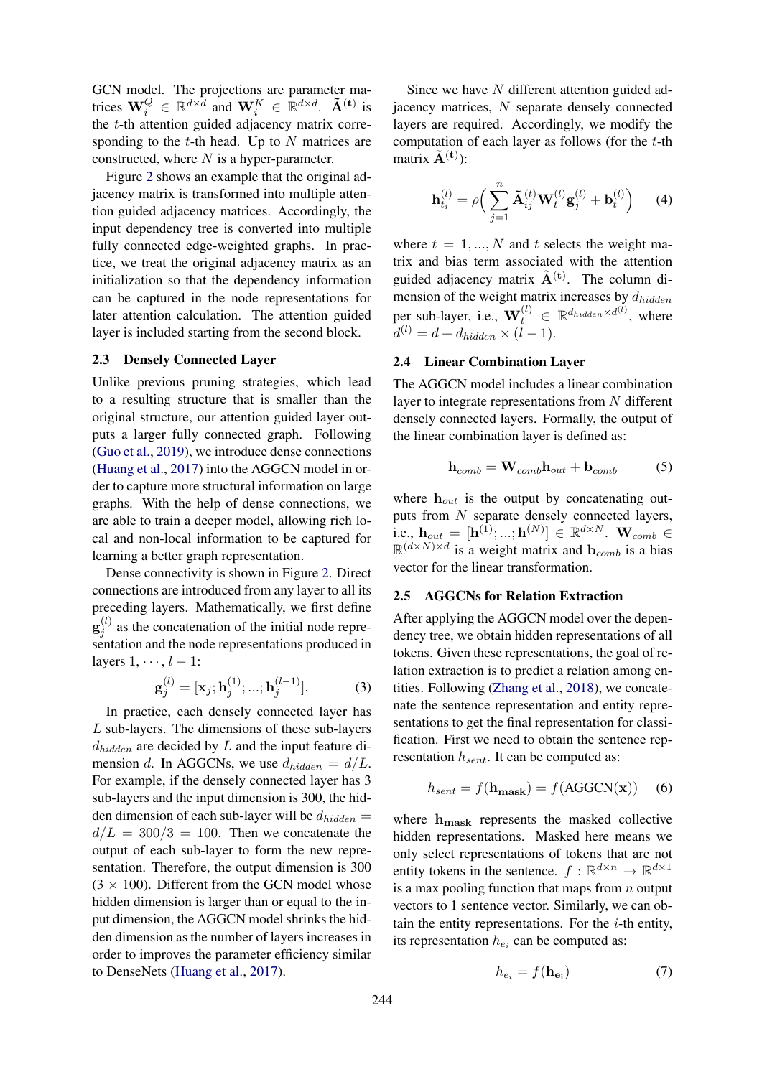GCN model. The projections are parameter matrices  $\mathbf{W}_i^Q \in \mathbb{R}^{d \times d}$  and  $\mathbf{W}_i^K \in \mathbb{R}^{d \times d}$ .  $\tilde{\mathbf{A}}^{(t)}$  is the  $t$ -th attention guided adjacency matrix corresponding to the  $t$ -th head. Up to  $N$  matrices are constructed, where  $N$  is a hyper-parameter.

Figure [2](#page-2-0) shows an example that the original adjacency matrix is transformed into multiple attention guided adjacency matrices. Accordingly, the input dependency tree is converted into multiple fully connected edge-weighted graphs. In practice, we treat the original adjacency matrix as an initialization so that the dependency information can be captured in the node representations for later attention calculation. The attention guided layer is included starting from the second block.

# 2.3 Densely Connected Layer

Unlike previous pruning strategies, which lead to a resulting structure that is smaller than the original structure, our attention guided layer outputs a larger fully connected graph. Following [\(Guo et al.,](#page-9-7) [2019\)](#page-9-7), we introduce dense connections [\(Huang et al.,](#page-9-6) [2017\)](#page-9-6) into the AGGCN model in order to capture more structural information on large graphs. With the help of dense connections, we are able to train a deeper model, allowing rich local and non-local information to be captured for learning a better graph representation.

Dense connectivity is shown in Figure [2.](#page-2-0) Direct connections are introduced from any layer to all its preceding layers. Mathematically, we first define  $\mathbf{g}_i^{(l)}$  $j^{(i)}$  as the concatenation of the initial node representation and the node representations produced in layers  $1, \dots, l-1$ :

$$
\mathbf{g}_{j}^{(l)} = [\mathbf{x}_{j}; \mathbf{h}_{j}^{(1)}; ...; \mathbf{h}_{j}^{(l-1)}].
$$
 (3)

In practice, each densely connected layer has L sub-layers. The dimensions of these sub-layers  $d_{hidden}$  are decided by  $L$  and the input feature dimension d. In AGGCNs, we use  $d_{hidden} = d/L$ . For example, if the densely connected layer has 3 sub-layers and the input dimension is 300, the hidden dimension of each sub-layer will be  $d_{hidden}$  $d/L = 300/3 = 100$ . Then we concatenate the output of each sub-layer to form the new representation. Therefore, the output dimension is 300  $(3 \times 100)$ . Different from the GCN model whose hidden dimension is larger than or equal to the input dimension, the AGGCN model shrinks the hidden dimension as the number of layers increases in order to improves the parameter efficiency similar to DenseNets [\(Huang et al.,](#page-9-6) [2017\)](#page-9-6).

Since we have N different attention guided adjacency matrices, N separate densely connected layers are required. Accordingly, we modify the computation of each layer as follows (for the  $t$ -th matrix  $\tilde{A}^{(t)}$ :

$$
\mathbf{h}_{t_i}^{(l)} = \rho \Big( \sum_{j=1}^n \tilde{\mathbf{A}}_{ij}^{(t)} \mathbf{W}_t^{(l)} \mathbf{g}_j^{(l)} + \mathbf{b}_t^{(l)} \Big) \qquad (4)
$$

where  $t = 1, ..., N$  and t selects the weight matrix and bias term associated with the attention guided adjacency matrix  $\tilde{A}^{(t)}$ . The column dimension of the weight matrix increases by  $d_{hidden}$ per sub-layer, i.e.,  $\mathbf{W}_t^{(l)} \in \mathbb{R}^{d_{hidden} \times d^{(l)}},$  where  $d^{(l)} = d + d_{hidden} \times (l-1).$ 

### 2.4 Linear Combination Layer

The AGGCN model includes a linear combination layer to integrate representations from N different densely connected layers. Formally, the output of the linear combination layer is defined as:

$$
\mathbf{h}_{comb} = \mathbf{W}_{comb}\mathbf{h}_{out} + \mathbf{b}_{comb} \tag{5}
$$

where  $h_{out}$  is the output by concatenating outputs from N separate densely connected layers, i.e.,  $\mathbf{h}_{out} \, = \, [\mathbf{h}^{(1)};...;\mathbf{h}^{(N)}] \, \in \, \mathbb{R}^{d \times N}. \,\, \mathbf{W}_{comb} \, \in$  $\mathbb{R}^{(d \times N) \times d}$  is a weight matrix and  $\mathbf{b}_{comb}$  is a bias vector for the linear transformation.

### 2.5 AGGCNs for Relation Extraction

After applying the AGGCN model over the dependency tree, we obtain hidden representations of all tokens. Given these representations, the goal of relation extraction is to predict a relation among entities. Following [\(Zhang et al.,](#page-10-4) [2018\)](#page-10-4), we concatenate the sentence representation and entity representations to get the final representation for classification. First we need to obtain the sentence representation  $h_{sent}$ . It can be computed as:

$$
h_{sent} = f(\mathbf{h}_{\text{mask}}) = f(\text{AGGCN}(\mathbf{x})) \quad (6)
$$

where  $h_{\text{mask}}$  represents the masked collective hidden representations. Masked here means we only select representations of tokens that are not entity tokens in the sentence.  $f: \mathbb{R}^{d \times n} \to \mathbb{R}^{d \times 1}$ is a max pooling function that maps from  $n$  output vectors to 1 sentence vector. Similarly, we can obtain the entity representations. For the  $i$ -th entity, its representation  $h_{e_i}$  can be computed as:

$$
h_{e_i} = f(\mathbf{h}_{\mathbf{e_i}}) \tag{7}
$$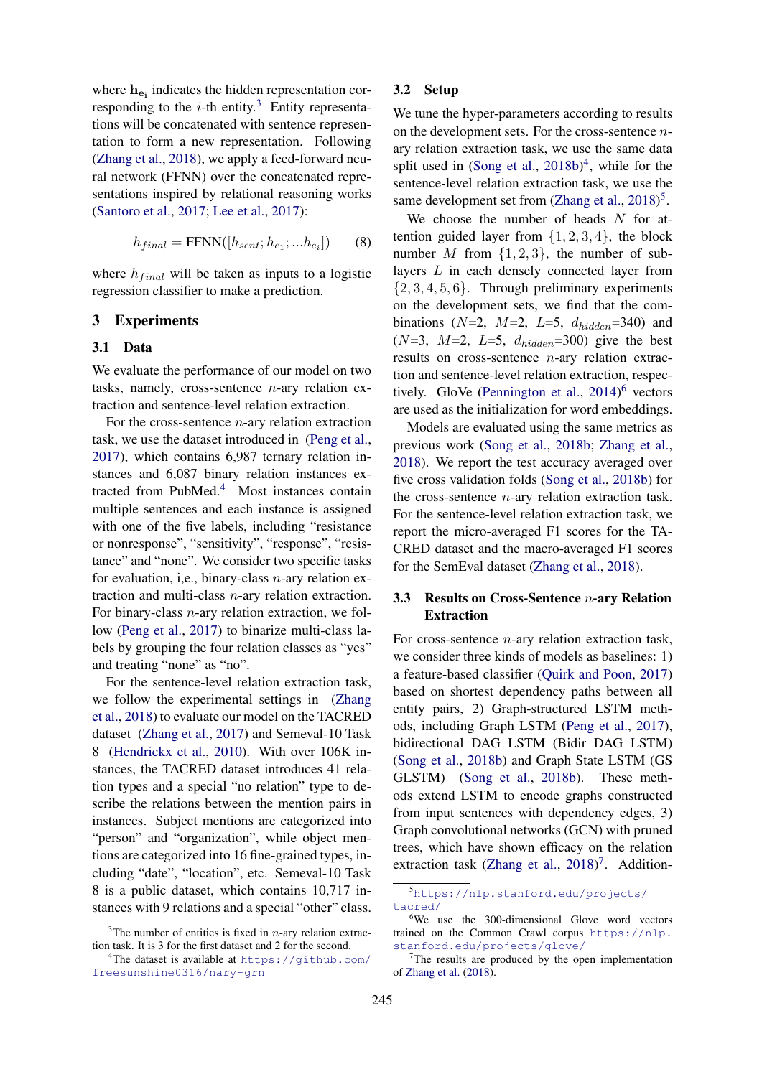where  $h_{\mathbf{e}_i}$  indicates the hidden representation corresponding to the  $i$ -th entity.<sup>[3](#page-4-0)</sup> Entity representations will be concatenated with sentence representation to form a new representation. Following [\(Zhang et al.,](#page-10-4) [2018\)](#page-10-4), we apply a feed-forward neural network (FFNN) over the concatenated representations inspired by relational reasoning works [\(Santoro et al.,](#page-9-13) [2017;](#page-9-13) [Lee et al.,](#page-9-14) [2017\)](#page-9-14):

$$
h_{final} = \text{FFNN}([h_{sent}; h_{e_1}; ... h_{e_i}])
$$
 (8)

where  $h_{final}$  will be taken as inputs to a logistic regression classifier to make a prediction.

### 3 Experiments

#### 3.1 Data

We evaluate the performance of our model on two tasks, namely, cross-sentence  $n$ -ary relation extraction and sentence-level relation extraction.

For the cross-sentence  $n$ -ary relation extraction task, we use the dataset introduced in [\(Peng et al.,](#page-9-2) [2017\)](#page-9-2), which contains 6,987 ternary relation instances and 6,087 binary relation instances ex-tracted from PubMed.<sup>[4](#page-4-1)</sup> Most instances contain multiple sentences and each instance is assigned with one of the five labels, including "resistance or nonresponse", "sensitivity", "response", "resistance" and "none". We consider two specific tasks for evaluation, i,e., binary-class  $n$ -ary relation extraction and multi-class n-ary relation extraction. For binary-class n-ary relation extraction, we follow [\(Peng et al.,](#page-9-2) [2017\)](#page-9-2) to binarize multi-class labels by grouping the four relation classes as "yes" and treating "none" as "no".

For the sentence-level relation extraction task, we follow the experimental settings in [\(Zhang](#page-10-4) [et al.,](#page-10-4) [2018\)](#page-10-4) to evaluate our model on the TACRED dataset [\(Zhang et al.,](#page-10-0) [2017\)](#page-10-0) and Semeval-10 Task 8 [\(Hendrickx et al.,](#page-9-15) [2010\)](#page-9-15). With over 106K instances, the TACRED dataset introduces 41 relation types and a special "no relation" type to describe the relations between the mention pairs in instances. Subject mentions are categorized into "person" and "organization", while object mentions are categorized into 16 fine-grained types, including "date", "location", etc. Semeval-10 Task 8 is a public dataset, which contains 10,717 instances with 9 relations and a special "other" class.

# 3.2 Setup

We tune the hyper-parameters according to results on the development sets. For the cross-sentence  $n$ ary relation extraction task, we use the same data split used in  $(Song et al., 2018b)^4$  $(Song et al., 2018b)^4$  $(Song et al., 2018b)^4$  $(Song et al., 2018b)^4$  $(Song et al., 2018b)^4$ , while for the sentence-level relation extraction task, we use the same development set from [\(Zhang et al.,](#page-10-4) [2018\)](#page-10-4)<sup>[5](#page-4-2)</sup>.

We choose the number of heads  $N$  for attention guided layer from  $\{1, 2, 3, 4\}$ , the block number M from  $\{1, 2, 3\}$ , the number of sublayers L in each densely connected layer from  $\{2, 3, 4, 5, 6\}$ . Through preliminary experiments on the development sets, we find that the combinations (N=2, M=2, L=5,  $d_{hidden}$ =340) and  $(N=3, M=2, L=5, d_{hidden}=300)$  give the best results on cross-sentence  $n$ -ary relation extraction and sentence-level relation extraction, respectively. GloVe [\(Pennington et al.,](#page-9-17) [2014\)](#page-9-17) [6](#page-4-3) vectors are used as the initialization for word embeddings.

Models are evaluated using the same metrics as previous work [\(Song et al.,](#page-9-16) [2018b;](#page-9-16) [Zhang et al.,](#page-10-4) [2018\)](#page-10-4). We report the test accuracy averaged over five cross validation folds [\(Song et al.,](#page-9-16) [2018b\)](#page-9-16) for the cross-sentence  $n$ -ary relation extraction task. For the sentence-level relation extraction task, we report the micro-averaged F1 scores for the TA-CRED dataset and the macro-averaged F1 scores for the SemEval dataset [\(Zhang et al.,](#page-10-4) [2018\)](#page-10-4).

# 3.3 Results on Cross-Sentence n-ary Relation Extraction

For cross-sentence  $n$ -ary relation extraction task, we consider three kinds of models as baselines: 1) a feature-based classifier [\(Quirk and Poon,](#page-9-0) [2017\)](#page-9-0) based on shortest dependency paths between all entity pairs, 2) Graph-structured LSTM methods, including Graph LSTM [\(Peng et al.,](#page-9-2) [2017\)](#page-9-2), bidirectional DAG LSTM (Bidir DAG LSTM) [\(Song et al.,](#page-9-16) [2018b\)](#page-9-16) and Graph State LSTM (GS GLSTM) [\(Song et al.,](#page-9-16) [2018b\)](#page-9-16). These methods extend LSTM to encode graphs constructed from input sentences with dependency edges, 3) Graph convolutional networks (GCN) with pruned trees, which have shown efficacy on the relation extraction task [\(Zhang et al.,](#page-10-4)  $2018$ <sup>[7](#page-4-4)</sup>. Addition-

<span id="page-4-0"></span> $3$ The number of entities is fixed in *n*-ary relation extraction task. It is 3 for the first dataset and 2 for the second.

<span id="page-4-1"></span><sup>&</sup>lt;sup>4</sup>The dataset is available at [https://github.com/](https://github.com/freesunshine0316/nary-grn) [freesunshine0316/nary-grn](https://github.com/freesunshine0316/nary-grn)

<span id="page-4-2"></span><sup>5</sup>[https://nlp.stanford.edu/projects/](https://nlp.stanford.edu/projects/tacred/) [tacred/](https://nlp.stanford.edu/projects/tacred/)

<span id="page-4-3"></span><sup>&</sup>lt;sup>6</sup>We use the 300-dimensional Glove word vectors trained on the Common Crawl corpus [https://nlp.](https://nlp.stanford.edu/projects/glove/) [stanford.edu/projects/glove/](https://nlp.stanford.edu/projects/glove/)

<span id="page-4-4"></span> $7$ The results are produced by the open implementation of [Zhang et al.](#page-10-4) [\(2018\)](#page-10-4).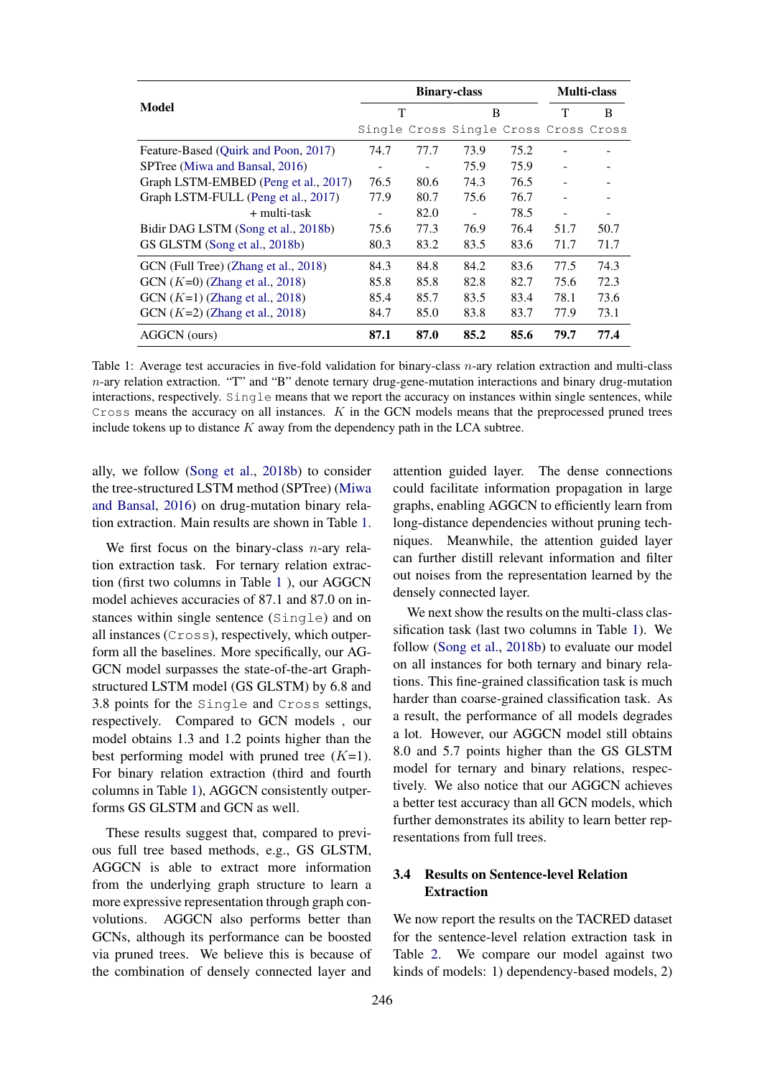<span id="page-5-0"></span>

|                                      | <b>Binary-class</b> |      |                                       |      | <b>Multi-class</b> |      |
|--------------------------------------|---------------------|------|---------------------------------------|------|--------------------|------|
| Model                                | T                   |      | B                                     |      | T                  | B    |
|                                      |                     |      | Single Cross Single Cross Cross Cross |      |                    |      |
| Feature-Based (Quirk and Poon, 2017) | 74.7                | 77.7 | 73.9                                  | 75.2 |                    |      |
| SPTree (Miwa and Bansal, 2016)       |                     |      | 75.9                                  | 75.9 |                    |      |
| Graph LSTM-EMBED (Peng et al., 2017) | 76.5                | 80.6 | 74.3                                  | 76.5 |                    |      |
| Graph LSTM-FULL (Peng et al., 2017)  | 77.9                | 80.7 | 75.6                                  | 76.7 |                    |      |
| $+$ multi-task                       |                     | 82.0 |                                       | 78.5 |                    |      |
| Bidir DAG LSTM (Song et al., 2018b)  | 75.6                | 77.3 | 76.9                                  | 76.4 | 51.7               | 50.7 |
| GS GLSTM (Song et al., 2018b)        | 80.3                | 83.2 | 83.5                                  | 83.6 | 71.7               | 71.7 |
| GCN (Full Tree) (Zhang et al., 2018) | 84.3                | 84.8 | 84.2                                  | 83.6 | 77.5               | 74.3 |
| $GCN$ ( $K=0$ ) (Zhang et al., 2018) | 85.8                | 85.8 | 82.8                                  | 82.7 | 75.6               | 72.3 |
| $GCN (K=1) (Zhang et al., 2018)$     | 85.4                | 85.7 | 83.5                                  | 83.4 | 78.1               | 73.6 |
| GCN $(K=2)$ (Zhang et al., 2018)     | 84.7                | 85.0 | 83.8                                  | 83.7 | 77.9               | 73.1 |
| AGGCN (ours)                         | 87.1                | 87.0 | 85.2                                  | 85.6 | 79.7               | 77.4 |

Table 1: Average test accuracies in five-fold validation for binary-class  $n$ -ary relation extraction and multi-class n-ary relation extraction. "T" and "B" denote ternary drug-gene-mutation interactions and binary drug-mutation interactions, respectively. Single means that we report the accuracy on instances within single sentences, while Cross means the accuracy on all instances. K in the GCN models means that the preprocessed pruned trees include tokens up to distance  $K$  away from the dependency path in the LCA subtree.

ally, we follow [\(Song et al.,](#page-9-16) [2018b\)](#page-9-16) to consider the tree-structured LSTM method (SPTree) [\(Miwa](#page-9-3) [and Bansal,](#page-9-3) [2016\)](#page-9-3) on drug-mutation binary relation extraction. Main results are shown in Table [1.](#page-5-0)

We first focus on the binary-class  $n$ -ary relation extraction task. For ternary relation extraction (first two columns in Table [1](#page-5-0) ), our AGGCN model achieves accuracies of 87.1 and 87.0 on instances within single sentence (Single) and on all instances (Cross), respectively, which outperform all the baselines. More specifically, our AG-GCN model surpasses the state-of-the-art Graphstructured LSTM model (GS GLSTM) by 6.8 and 3.8 points for the Single and Cross settings, respectively. Compared to GCN models , our model obtains 1.3 and 1.2 points higher than the best performing model with pruned tree  $(K=1)$ . For binary relation extraction (third and fourth columns in Table [1\)](#page-5-0), AGGCN consistently outperforms GS GLSTM and GCN as well.

These results suggest that, compared to previous full tree based methods, e.g., GS GLSTM, AGGCN is able to extract more information from the underlying graph structure to learn a more expressive representation through graph convolutions. AGGCN also performs better than GCNs, although its performance can be boosted via pruned trees. We believe this is because of the combination of densely connected layer and

attention guided layer. The dense connections could facilitate information propagation in large graphs, enabling AGGCN to efficiently learn from long-distance dependencies without pruning techniques. Meanwhile, the attention guided layer can further distill relevant information and filter out noises from the representation learned by the densely connected layer.

We next show the results on the multi-class classification task (last two columns in Table [1\)](#page-5-0). We follow [\(Song et al.,](#page-9-16) [2018b\)](#page-9-16) to evaluate our model on all instances for both ternary and binary relations. This fine-grained classification task is much harder than coarse-grained classification task. As a result, the performance of all models degrades a lot. However, our AGGCN model still obtains 8.0 and 5.7 points higher than the GS GLSTM model for ternary and binary relations, respectively. We also notice that our AGGCN achieves a better test accuracy than all GCN models, which further demonstrates its ability to learn better representations from full trees.

# 3.4 Results on Sentence-level Relation Extraction

We now report the results on the TACRED dataset for the sentence-level relation extraction task in Table [2.](#page-6-0) We compare our model against two kinds of models: 1) dependency-based models, 2)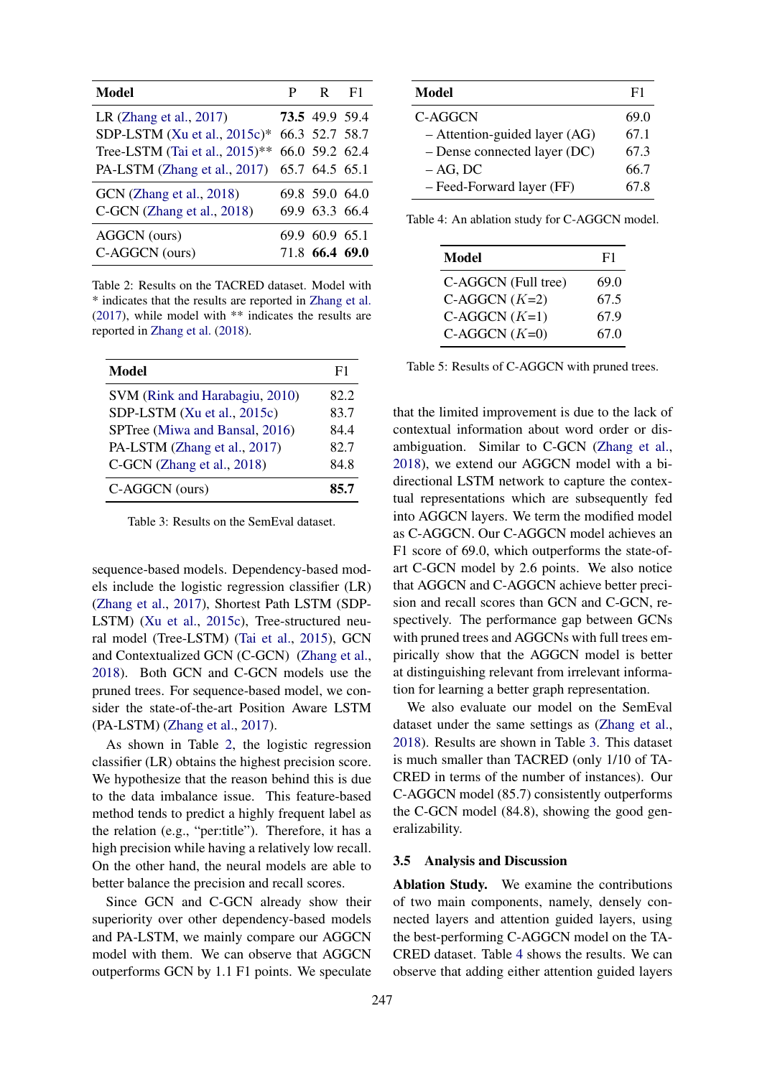<span id="page-6-0"></span>

| <b>Model</b>                      | P | $R$ F1         |  |
|-----------------------------------|---|----------------|--|
| LR (Zhang et al., $2017$ )        |   | 73.5 49.9 59.4 |  |
| SDP-LSTM (Xu et al., 2015c)*      |   | 66.3 52.7 58.7 |  |
| Tree-LSTM (Tai et al., $2015$ )** |   | 66.0 59.2 62.4 |  |
| PA-LSTM (Zhang et al., 2017)      |   | 65.7 64.5 65.1 |  |
| GCN (Zhang et al., 2018)          |   | 69.8 59.0 64.0 |  |
| C-GCN (Zhang et al., 2018)        |   | 69.9 63.3 66.4 |  |
| AGGCN (ours)                      |   | 69.9 60.9 65.1 |  |
| C-AGGCN (ours)                    |   | 71.8 66.4 69.0 |  |

Table 2: Results on the TACRED dataset. Model with \* indicates that the results are reported in [Zhang et al.](#page-10-0) [\(2017\)](#page-10-0), while model with \*\* indicates the results are reported in [Zhang et al.](#page-10-4) [\(2018\)](#page-10-4).

<span id="page-6-1"></span>

| <b>Model</b>                   | F1   |
|--------------------------------|------|
| SVM (Rink and Harabagiu, 2010) | 82.2 |
| SDP-LSTM (Xu et al., 2015c)    | 83.7 |
| SPTree (Miwa and Bansal, 2016) | 844  |
| PA-LSTM (Zhang et al., 2017)   | 82.7 |
| C-GCN (Zhang et al., 2018)     | 84.8 |
| C-AGGCN (ours)                 | 85.7 |

Table 3: Results on the SemEval dataset.

sequence-based models. Dependency-based models include the logistic regression classifier (LR) [\(Zhang et al.,](#page-10-0) [2017\)](#page-10-0), Shortest Path LSTM (SDP-LSTM) [\(Xu et al.,](#page-10-6) [2015c\)](#page-10-6), Tree-structured neural model (Tree-LSTM) [\(Tai et al.,](#page-9-9) [2015\)](#page-9-9), GCN and Contextualized GCN (C-GCN) [\(Zhang et al.,](#page-10-4) [2018\)](#page-10-4). Both GCN and C-GCN models use the pruned trees. For sequence-based model, we consider the state-of-the-art Position Aware LSTM (PA-LSTM) [\(Zhang et al.,](#page-10-0) [2017\)](#page-10-0).

As shown in Table [2,](#page-6-0) the logistic regression classifier (LR) obtains the highest precision score. We hypothesize that the reason behind this is due to the data imbalance issue. This feature-based method tends to predict a highly frequent label as the relation (e.g., "per:title"). Therefore, it has a high precision while having a relatively low recall. On the other hand, the neural models are able to better balance the precision and recall scores.

Since GCN and C-GCN already show their superiority over other dependency-based models and PA-LSTM, we mainly compare our AGGCN model with them. We can observe that AGGCN outperforms GCN by 1.1 F1 points. We speculate

<span id="page-6-2"></span>

| <b>Model</b>                   | F1   |
|--------------------------------|------|
| C-AGGCN                        | 69.0 |
| - Attention-guided layer (AG)  | 67.1 |
| $-$ Dense connected layer (DC) | 67.3 |
| $- AG$ , DC                    | 66.7 |
| - Feed-Forward layer (FF)      | 67.8 |

<span id="page-6-3"></span>Table 4: An ablation study for C-AGGCN model.

| Model               | F1   |
|---------------------|------|
| C-AGGCN (Full tree) | 69.0 |
| C-AGGCN $(K=2)$     | 67.5 |
| C-AGGCN $(K=1)$     | 67.9 |
| C-AGGCN $(K=0)$     | 67.0 |

Table 5: Results of C-AGGCN with pruned trees.

that the limited improvement is due to the lack of contextual information about word order or disambiguation. Similar to C-GCN [\(Zhang et al.,](#page-10-4) [2018\)](#page-10-4), we extend our AGGCN model with a bidirectional LSTM network to capture the contextual representations which are subsequently fed into AGGCN layers. We term the modified model as C-AGGCN. Our C-AGGCN model achieves an F1 score of 69.0, which outperforms the state-ofart C-GCN model by 2.6 points. We also notice that AGGCN and C-AGGCN achieve better precision and recall scores than GCN and C-GCN, respectively. The performance gap between GCNs with pruned trees and AGGCNs with full trees empirically show that the AGGCN model is better at distinguishing relevant from irrelevant information for learning a better graph representation.

We also evaluate our model on the SemEval dataset under the same settings as [\(Zhang et al.,](#page-10-4) [2018\)](#page-10-4). Results are shown in Table [3.](#page-6-1) This dataset is much smaller than TACRED (only 1/10 of TA-CRED in terms of the number of instances). Our C-AGGCN model (85.7) consistently outperforms the C-GCN model (84.8), showing the good generalizability.

### 3.5 Analysis and Discussion

Ablation Study. We examine the contributions of two main components, namely, densely connected layers and attention guided layers, using the best-performing C-AGGCN model on the TA-CRED dataset. Table [4](#page-6-2) shows the results. We can observe that adding either attention guided layers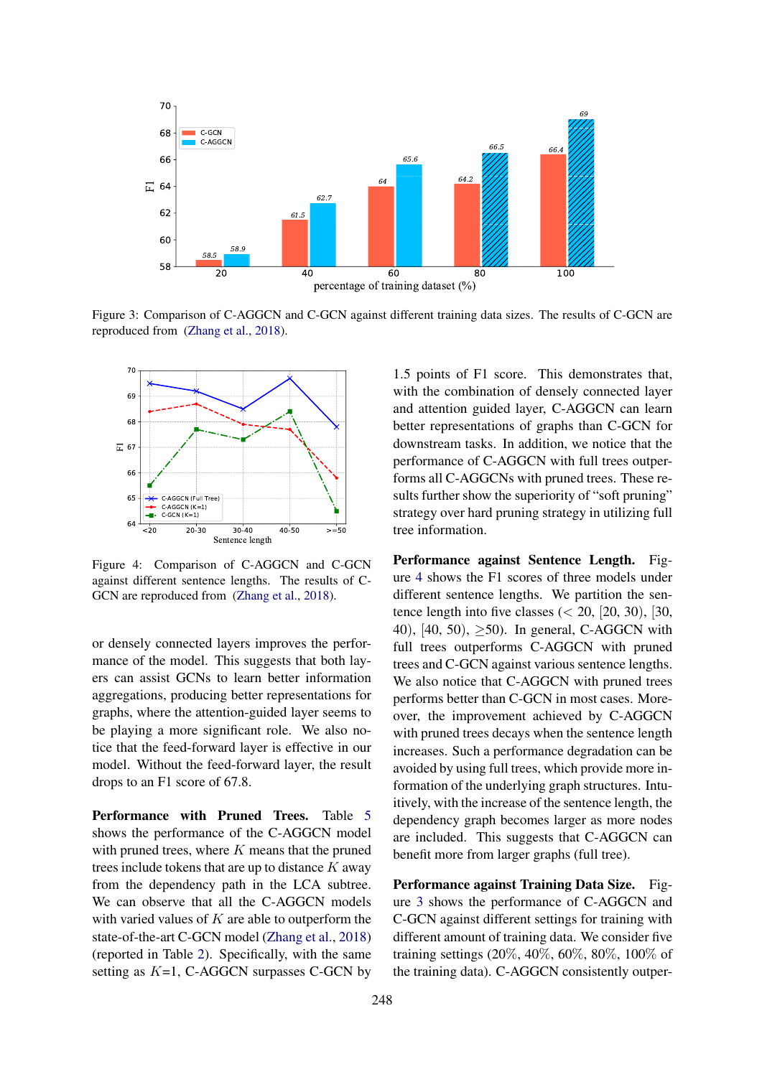<span id="page-7-1"></span>

Figure 3: Comparison of C-AGGCN and C-GCN against different training data sizes. The results of C-GCN are reproduced from [\(Zhang et al.,](#page-10-4) [2018\)](#page-10-4).

<span id="page-7-0"></span>

Figure 4: Comparison of C-AGGCN and C-GCN against different sentence lengths. The results of C-GCN are reproduced from [\(Zhang et al.,](#page-10-4) [2018\)](#page-10-4).

or densely connected layers improves the performance of the model. This suggests that both layers can assist GCNs to learn better information aggregations, producing better representations for graphs, where the attention-guided layer seems to be playing a more significant role. We also notice that the feed-forward layer is effective in our model. Without the feed-forward layer, the result drops to an F1 score of 67.8.

Performance with Pruned Trees. Table [5](#page-6-3) shows the performance of the C-AGGCN model with pruned trees, where  $K$  means that the pruned trees include tokens that are up to distance  $K$  away from the dependency path in the LCA subtree. We can observe that all the C-AGGCN models with varied values of  $K$  are able to outperform the state-of-the-art C-GCN model [\(Zhang et al.,](#page-10-4) [2018\)](#page-10-4) (reported in Table [2\)](#page-6-0). Specifically, with the same setting as  $K=1$ , C-AGGCN surpasses C-GCN by

1.5 points of F1 score. This demonstrates that, with the combination of densely connected layer and attention guided layer, C-AGGCN can learn better representations of graphs than C-GCN for downstream tasks. In addition, we notice that the performance of C-AGGCN with full trees outperforms all C-AGGCNs with pruned trees. These results further show the superiority of "soft pruning" strategy over hard pruning strategy in utilizing full tree information.

Performance against Sentence Length. Figure [4](#page-7-0) shows the F1 scores of three models under different sentence lengths. We partition the sentence length into five classes  $( $20$ ,  $[20, 30)$ ,  $[30, 30]$$ 40), [40, 50),  $\geq 50$ ). In general, C-AGGCN with full trees outperforms C-AGGCN with pruned trees and C-GCN against various sentence lengths. We also notice that C-AGGCN with pruned trees performs better than C-GCN in most cases. Moreover, the improvement achieved by C-AGGCN with pruned trees decays when the sentence length increases. Such a performance degradation can be avoided by using full trees, which provide more information of the underlying graph structures. Intuitively, with the increase of the sentence length, the dependency graph becomes larger as more nodes are included. This suggests that C-AGGCN can benefit more from larger graphs (full tree).

Performance against Training Data Size. Figure [3](#page-7-1) shows the performance of C-AGGCN and C-GCN against different settings for training with different amount of training data. We consider five training settings (20%, 40%, 60%, 80%, 100% of the training data). C-AGGCN consistently outper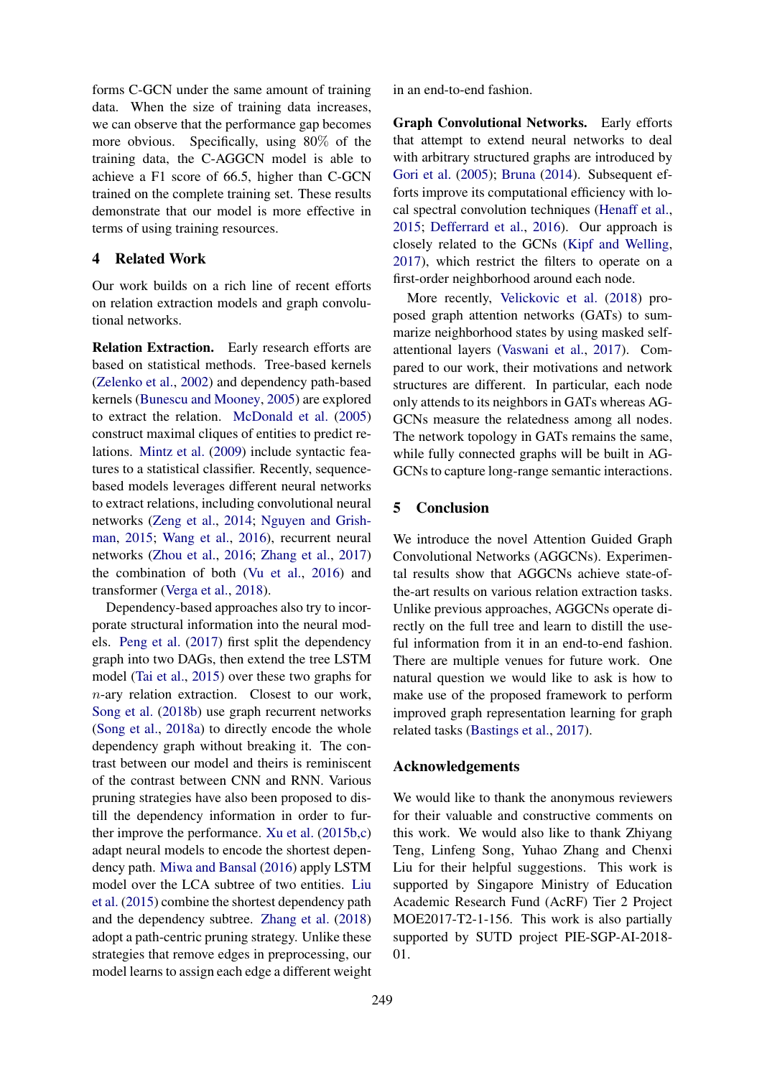forms C-GCN under the same amount of training data. When the size of training data increases, we can observe that the performance gap becomes more obvious. Specifically, using 80% of the training data, the C-AGGCN model is able to achieve a F1 score of 66.5, higher than C-GCN trained on the complete training set. These results demonstrate that our model is more effective in terms of using training resources.

# 4 Related Work

Our work builds on a rich line of recent efforts on relation extraction models and graph convolutional networks.

Relation Extraction. Early research efforts are based on statistical methods. Tree-based kernels [\(Zelenko et al.,](#page-10-9) [2002\)](#page-10-9) and dependency path-based kernels [\(Bunescu and Mooney,](#page-9-1) [2005\)](#page-9-1) are explored to extract the relation. [McDonald et al.](#page-9-19) [\(2005\)](#page-9-19) construct maximal cliques of entities to predict relations. [Mintz et al.](#page-9-20) [\(2009\)](#page-9-20) include syntactic features to a statistical classifier. Recently, sequencebased models leverages different neural networks to extract relations, including convolutional neural networks [\(Zeng et al.,](#page-10-2) [2014;](#page-10-2) [Nguyen and Grish](#page-9-21)[man,](#page-9-21) [2015;](#page-9-21) [Wang et al.,](#page-10-3) [2016\)](#page-10-3), recurrent neural networks [\(Zhou et al.,](#page-10-10) [2016;](#page-10-10) [Zhang et al.,](#page-10-0) [2017\)](#page-10-0) the combination of both [\(Vu et al.,](#page-10-11) [2016\)](#page-10-11) and transformer [\(Verga et al.,](#page-10-12) [2018\)](#page-10-12).

Dependency-based approaches also try to incorporate structural information into the neural models. [Peng et al.](#page-9-2) [\(2017\)](#page-9-2) first split the dependency graph into two DAGs, then extend the tree LSTM model [\(Tai et al.,](#page-9-9) [2015\)](#page-9-9) over these two graphs for  $n$ -ary relation extraction. Closest to our work, [Song et al.](#page-9-16) [\(2018b\)](#page-9-16) use graph recurrent networks [\(Song et al.,](#page-9-22) [2018a\)](#page-9-22) to directly encode the whole dependency graph without breaking it. The contrast between our model and theirs is reminiscent of the contrast between CNN and RNN. Various pruning strategies have also been proposed to distill the dependency information in order to further improve the performance. [Xu et al.](#page-10-5) [\(2015b,](#page-10-5)[c\)](#page-10-6) adapt neural models to encode the shortest dependency path. [Miwa and Bansal](#page-9-3) [\(2016\)](#page-9-3) apply LSTM model over the LCA subtree of two entities. [Liu](#page-9-23) [et al.](#page-9-23) [\(2015\)](#page-9-23) combine the shortest dependency path and the dependency subtree. [Zhang et al.](#page-10-4) [\(2018\)](#page-10-4) adopt a path-centric pruning strategy. Unlike these strategies that remove edges in preprocessing, our model learns to assign each edge a different weight in an end-to-end fashion.

Graph Convolutional Networks. Early efforts that attempt to extend neural networks to deal with arbitrary structured graphs are introduced by [Gori et al.](#page-9-24) [\(2005\)](#page-9-24); [Bruna](#page-9-25) [\(2014\)](#page-9-25). Subsequent efforts improve its computational efficiency with local spectral convolution techniques [\(Henaff et al.,](#page-9-26) [2015;](#page-9-26) [Defferrard et al.,](#page-9-27) [2016\)](#page-9-27). Our approach is closely related to the GCNs [\(Kipf and Welling,](#page-9-4) [2017\)](#page-9-4), which restrict the filters to operate on a first-order neighborhood around each node.

More recently, [Velickovic et al.](#page-9-28) [\(2018\)](#page-9-28) proposed graph attention networks (GATs) to summarize neighborhood states by using masked selfattentional layers [\(Vaswani et al.,](#page-9-5) [2017\)](#page-9-5). Compared to our work, their motivations and network structures are different. In particular, each node only attends to its neighbors in GATs whereas AG-GCNs measure the relatedness among all nodes. The network topology in GATs remains the same, while fully connected graphs will be built in AG-GCNs to capture long-range semantic interactions.

### 5 Conclusion

We introduce the novel Attention Guided Graph Convolutional Networks (AGGCNs). Experimental results show that AGGCNs achieve state-ofthe-art results on various relation extraction tasks. Unlike previous approaches, AGGCNs operate directly on the full tree and learn to distill the useful information from it in an end-to-end fashion. There are multiple venues for future work. One natural question we would like to ask is how to make use of the proposed framework to perform improved graph representation learning for graph related tasks [\(Bastings et al.,](#page-9-29) [2017\)](#page-9-29).

### Acknowledgements

We would like to thank the anonymous reviewers for their valuable and constructive comments on this work. We would also like to thank Zhiyang Teng, Linfeng Song, Yuhao Zhang and Chenxi Liu for their helpful suggestions. This work is supported by Singapore Ministry of Education Academic Research Fund (AcRF) Tier 2 Project MOE2017-T2-1-156. This work is also partially supported by SUTD project PIE-SGP-AI-2018- 01.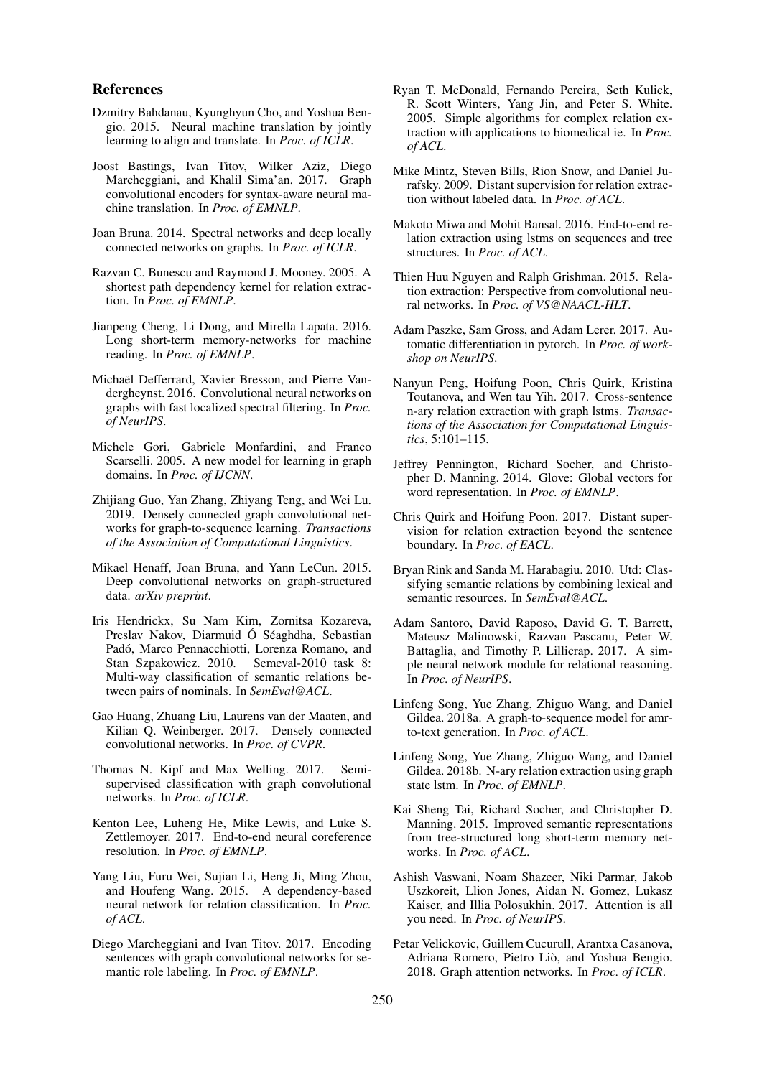### References

- <span id="page-9-12"></span>Dzmitry Bahdanau, Kyunghyun Cho, and Yoshua Bengio. 2015. Neural machine translation by jointly learning to align and translate. In *Proc. of ICLR*.
- <span id="page-9-29"></span>Joost Bastings, Ivan Titov, Wilker Aziz, Diego Marcheggiani, and Khalil Sima'an. 2017. Graph convolutional encoders for syntax-aware neural machine translation. In *Proc. of EMNLP*.
- <span id="page-9-25"></span>Joan Bruna. 2014. Spectral networks and deep locally connected networks on graphs. In *Proc. of ICLR*.
- <span id="page-9-1"></span>Razvan C. Bunescu and Raymond J. Mooney. 2005. A shortest path dependency kernel for relation extraction. In *Proc. of EMNLP*.
- <span id="page-9-11"></span>Jianpeng Cheng, Li Dong, and Mirella Lapata. 2016. Long short-term memory-networks for machine reading. In *Proc. of EMNLP*.
- <span id="page-9-27"></span>Michaël Defferrard, Xavier Bresson, and Pierre Vandergheynst. 2016. Convolutional neural networks on graphs with fast localized spectral filtering. In *Proc. of NeurIPS*.
- <span id="page-9-24"></span>Michele Gori, Gabriele Monfardini, and Franco Scarselli. 2005. A new model for learning in graph domains. In *Proc. of IJCNN*.
- <span id="page-9-7"></span>Zhijiang Guo, Yan Zhang, Zhiyang Teng, and Wei Lu. 2019. Densely connected graph convolutional networks for graph-to-sequence learning. *Transactions of the Association of Computational Linguistics*.
- <span id="page-9-26"></span>Mikael Henaff, Joan Bruna, and Yann LeCun. 2015. Deep convolutional networks on graph-structured data. *arXiv preprint*.
- <span id="page-9-15"></span>Iris Hendrickx, Su Nam Kim, Zornitsa Kozareva, Preslav Nakov, Diarmuid Ó Séaghdha, Sebastian Padó, Marco Pennacchiotti, Lorenza Romano, and Stan Szpakowicz. 2010. Semeval-2010 task 8: Multi-way classification of semantic relations between pairs of nominals. In *SemEval@ACL*.
- <span id="page-9-6"></span>Gao Huang, Zhuang Liu, Laurens van der Maaten, and Kilian Q. Weinberger. 2017. Densely connected convolutional networks. In *Proc. of CVPR*.
- <span id="page-9-4"></span>Thomas N. Kipf and Max Welling. 2017. Semisupervised classification with graph convolutional networks. In *Proc. of ICLR*.
- <span id="page-9-14"></span>Kenton Lee, Luheng He, Mike Lewis, and Luke S. Zettlemoyer. 2017. End-to-end neural coreference resolution. In *Proc. of EMNLP*.
- <span id="page-9-23"></span>Yang Liu, Furu Wei, Sujian Li, Heng Ji, Ming Zhou, and Houfeng Wang. 2015. A dependency-based neural network for relation classification. In *Proc. of ACL*.
- <span id="page-9-10"></span>Diego Marcheggiani and Ivan Titov. 2017. Encoding sentences with graph convolutional networks for semantic role labeling. In *Proc. of EMNLP*.
- <span id="page-9-19"></span>Ryan T. McDonald, Fernando Pereira, Seth Kulick, R. Scott Winters, Yang Jin, and Peter S. White. 2005. Simple algorithms for complex relation extraction with applications to biomedical ie. In *Proc. of ACL*.
- <span id="page-9-20"></span>Mike Mintz, Steven Bills, Rion Snow, and Daniel Jurafsky. 2009. Distant supervision for relation extraction without labeled data. In *Proc. of ACL*.
- <span id="page-9-3"></span>Makoto Miwa and Mohit Bansal. 2016. End-to-end relation extraction using lstms on sequences and tree structures. In *Proc. of ACL*.
- <span id="page-9-21"></span>Thien Huu Nguyen and Ralph Grishman. 2015. Relation extraction: Perspective from convolutional neural networks. In *Proc. of VS@NAACL-HLT*.
- <span id="page-9-8"></span>Adam Paszke, Sam Gross, and Adam Lerer. 2017. Automatic differentiation in pytorch. In *Proc. of workshop on NeurIPS*.
- <span id="page-9-2"></span>Nanyun Peng, Hoifung Poon, Chris Quirk, Kristina Toutanova, and Wen tau Yih. 2017. Cross-sentence n-ary relation extraction with graph lstms. *Transactions of the Association for Computational Linguistics*, 5:101–115.
- <span id="page-9-17"></span>Jeffrey Pennington, Richard Socher, and Christopher D. Manning. 2014. Glove: Global vectors for word representation. In *Proc. of EMNLP*.
- <span id="page-9-0"></span>Chris Quirk and Hoifung Poon. 2017. Distant supervision for relation extraction beyond the sentence boundary. In *Proc. of EACL*.
- <span id="page-9-18"></span>Bryan Rink and Sanda M. Harabagiu. 2010. Utd: Classifying semantic relations by combining lexical and semantic resources. In *SemEval@ACL*.
- <span id="page-9-13"></span>Adam Santoro, David Raposo, David G. T. Barrett, Mateusz Malinowski, Razvan Pascanu, Peter W. Battaglia, and Timothy P. Lillicrap. 2017. A simple neural network module for relational reasoning. In *Proc. of NeurIPS*.
- <span id="page-9-22"></span>Linfeng Song, Yue Zhang, Zhiguo Wang, and Daniel Gildea. 2018a. A graph-to-sequence model for amrto-text generation. In *Proc. of ACL*.
- <span id="page-9-16"></span>Linfeng Song, Yue Zhang, Zhiguo Wang, and Daniel Gildea. 2018b. N-ary relation extraction using graph state lstm. In *Proc. of EMNLP*.
- <span id="page-9-9"></span>Kai Sheng Tai, Richard Socher, and Christopher D. Manning. 2015. Improved semantic representations from tree-structured long short-term memory networks. In *Proc. of ACL*.
- <span id="page-9-5"></span>Ashish Vaswani, Noam Shazeer, Niki Parmar, Jakob Uszkoreit, Llion Jones, Aidan N. Gomez, Lukasz Kaiser, and Illia Polosukhin. 2017. Attention is all you need. In *Proc. of NeurIPS*.
- <span id="page-9-28"></span>Petar Velickovic, Guillem Cucurull, Arantxa Casanova, Adriana Romero, Pietro Liò, and Yoshua Bengio. 2018. Graph attention networks. In *Proc. of ICLR*.